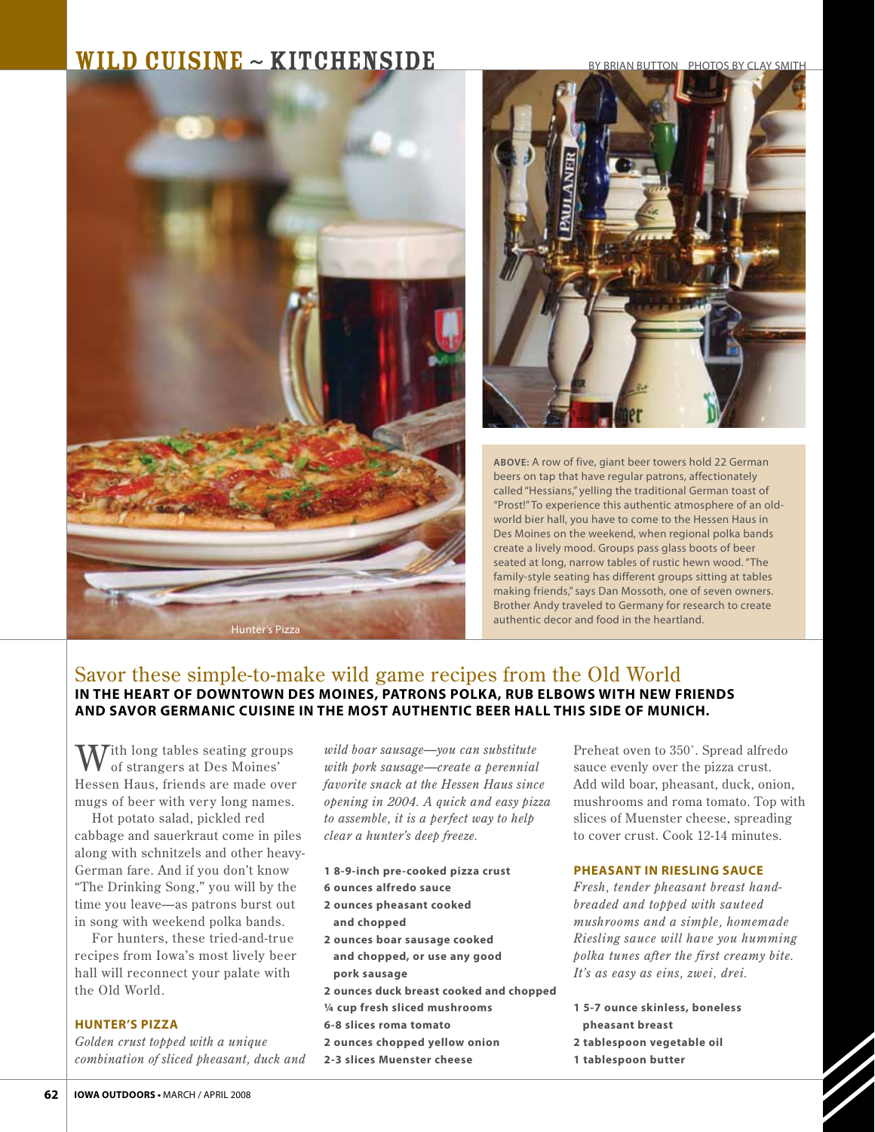## $\textbf{WILD CUISINE} \sim \textbf{KITCHENSIDE}$  BY BRIAN BUTTON PHOTOS BY CLAY SMITH





**ABOVE:** A row of five, giant beer towers hold 22 German beers on tap that have regular patrons, affectionately called "Hessians," yelling the traditional German toast of "Prost!" To experience this authentic atmosphere of an oldworld bier hall, you have to come to the Hessen Haus in Des Moines on the weekend, when regional polka bands create a lively mood. Groups pass glass boots of beer seated at long, narrow tables of rustic hewn wood. "The family-style seating has different groups sitting at tables making friends," says Dan Mossoth, one of seven owners. Brother Andy traveled to Germany for research to create authentic decor and food in the heartland.

## Savor these simple-to-make wild game recipes from the Old World **in the heart of downtown des moines, patrons polka, rub elbows with new friends and savor germanic cuisine in the most authentic beer hall this side of munich.**

**M**ith long tables seating groups of strangers at Des Moines' Hessen Haus, friends are made over mugs of beer with very long names.

Hot potato salad, pickled red cabbage and sauerkraut come in piles along with schnitzels and other heavy-German fare. And if you don't know "The Drinking Song," you will by the time you leave—as patrons burst out in song with weekend polka bands.

For hunters, these tried-and-true recipes from Iowa's most lively beer hall will reconnect your palate with the Old World.

## **hunter's pizza**

*Golden crust topped with a unique combination of sliced pheasant, duck and* 

*wild boar sausage—you can substitute with pork sausage—create a perennial favorite snack at the Hessen Haus since opening in 2004. A quick and easy pizza to assemble, it is a perfect way to help clear a hunter's deep freeze.* 

- **1 8-9-inch pre-cooked pizza crust**
- **6 ounces alfredo sauce**
- **2 ounces pheasant cooked**
- **and chopped**
- **2 ounces boar sausage cooked and chopped, or use any good pork sausage**
- **2 ounces duck breast cooked and chopped**
- **1/4 cup fresh sliced mushrooms**
- **6-8 slices roma tomato**
- **2 ounces chopped yellow onion**
- **2-3 slices Muenster cheese**

Preheat oven to 350˚. Spread alfredo sauce evenly over the pizza crust. Add wild boar, pheasant, duck, onion, mushrooms and roma tomato. Top with slices of Muenster cheese, spreading to cover crust. Cook 12-14 minutes.

## **pheasant in riesling sauce**

*Fresh, tender pheasant breast handbreaded and topped with sauteed mushrooms and a simple, homemade Riesling sauce will have you humming polka tunes after the first creamy bite. It's as easy as eins, zwei, drei.*

- **1 5-7 ounce skinless, boneless**
- **pheasant breast**
- **2 tablespoon vegetable oil**
- **1 tablespoon butter**